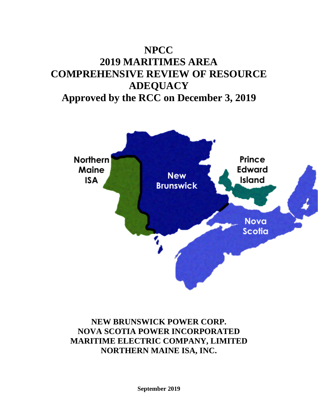



# **NEW BRUNSWICK POWER CORP. NOVA SCOTIA POWER INCORPORATED MARITIME ELECTRIC COMPANY, LIMITED NORTHERN MAINE ISA, INC.**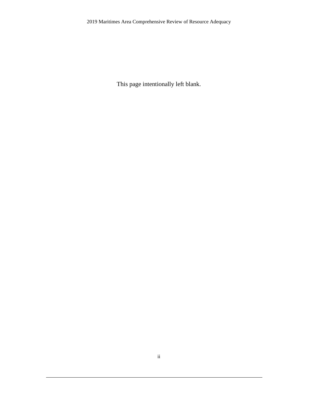This page intentionally left blank.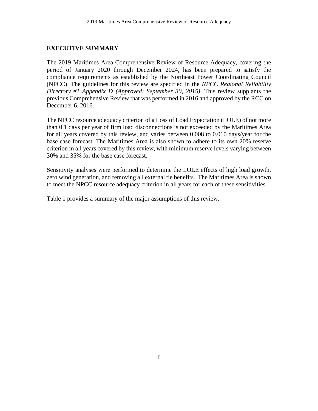## **EXECUTIVE SUMMARY**

The 2019 Maritimes Area Comprehensive Review of Resource Adequacy, covering the period of January 2020 through December 2024, has been prepared to satisfy the compliance requirements as established by the Northeast Power Coordinating Council (NPCC). The guidelines for this review are specified in the *NPCC Regional Reliability Directory #1 Appendix D (Approved: September 30, 2015)*. This review supplants the previous Comprehensive Review that was performed in 2016 and approved by the RCC on December 6, 2016.

The NPCC resource adequacy criterion of a Loss of Load Expectation (LOLE) of not more than 0.1 days per year of firm load disconnections is not exceeded by the Maritimes Area for all years covered by this review, and varies between 0.008 to 0.010 days/year for the base case forecast. The Maritimes Area is also shown to adhere to its own 20% reserve criterion in all years covered by this review, with minimum reserve levels varying between 30% and 35% for the base case forecast.

Sensitivity analyses were performed to determine the LOLE effects of high load growth, zero wind generation, and removing all external tie benefits. The Maritimes Area is shown to meet the NPCC resource adequacy criterion in all years for each of these sensitivities.

Table 1 provides a summary of the major assumptions of this review.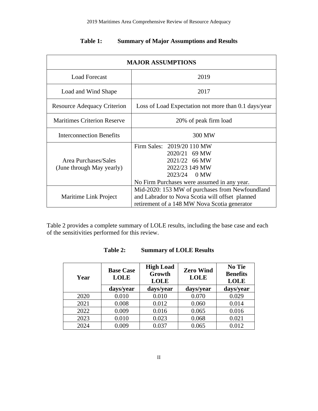| <b>MAJOR ASSUMPTIONS</b>                                                                                                                                                    |                                                                                                                                                 |  |  |  |  |
|-----------------------------------------------------------------------------------------------------------------------------------------------------------------------------|-------------------------------------------------------------------------------------------------------------------------------------------------|--|--|--|--|
| <b>Load Forecast</b>                                                                                                                                                        | 2019                                                                                                                                            |  |  |  |  |
| Load and Wind Shape                                                                                                                                                         | 2017                                                                                                                                            |  |  |  |  |
| <b>Resource Adequacy Criterion</b>                                                                                                                                          | Loss of Load Expectation not more than 0.1 days/year                                                                                            |  |  |  |  |
| <b>Maritimes Criterion Reserve</b>                                                                                                                                          | 20% of peak firm load                                                                                                                           |  |  |  |  |
| <b>Interconnection Benefits</b>                                                                                                                                             | 300 MW                                                                                                                                          |  |  |  |  |
| Area Purchases/Sales<br>(June through May yearly)                                                                                                                           | Firm Sales: 2019/20 110 MW<br>2020/21 69 MW<br>2021/22 66 MW<br>2022/23 149 MW<br>$2023/24$ 0 MW<br>No Firm Purchases were assumed in any year. |  |  |  |  |
| Mid-2020: 153 MW of purchases from Newfoundland<br>and Labrador to Nova Scotia will offset planned<br>Maritime Link Project<br>retirement of a 148 MW Nova Scotia generator |                                                                                                                                                 |  |  |  |  |

## **Table 1: Summary of Major Assumptions and Results**

Table 2 provides a complete summary of LOLE results, including the base case and each of the sensitivities performed for this review.

| Year | <b>Base Case</b><br><b>LOLE</b><br>days/year | <b>High Load</b><br>Growth<br><b>LOLE</b><br>days/year | <b>Zero Wind</b><br><b>LOLE</b><br>days/year | No Tie<br><b>Benefits</b><br><b>LOLE</b><br>days/year |
|------|----------------------------------------------|--------------------------------------------------------|----------------------------------------------|-------------------------------------------------------|
| 2020 | 0.010                                        | 0.010                                                  | 0.070                                        | 0.029                                                 |
| 2021 | 0.008                                        | 0.012                                                  | 0.060                                        | 0.014                                                 |
| 2022 | 0.009                                        | 0.016                                                  | 0.065                                        | 0.016                                                 |
| 2023 | 0.010                                        | 0.023                                                  | 0.068                                        | 0.021                                                 |
| 2024 | 0.009                                        | 0.037                                                  | 0.065                                        | 0.012                                                 |

| Table 2: | <b>Summary of LOLE Results</b> |
|----------|--------------------------------|
|----------|--------------------------------|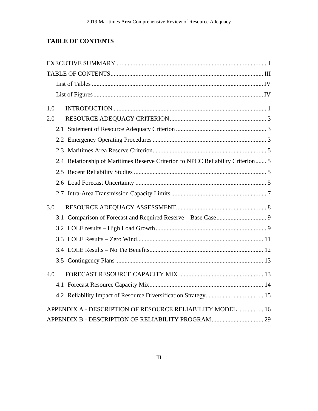## **TABLE OF CONTENTS**

| 1.0 |                                                                                 |  |
|-----|---------------------------------------------------------------------------------|--|
| 2.0 |                                                                                 |  |
|     |                                                                                 |  |
|     |                                                                                 |  |
|     |                                                                                 |  |
|     | 2.4 Relationship of Maritimes Reserve Criterion to NPCC Reliability Criterion 5 |  |
|     |                                                                                 |  |
|     |                                                                                 |  |
|     |                                                                                 |  |
| 3.0 |                                                                                 |  |
|     |                                                                                 |  |
|     |                                                                                 |  |
|     |                                                                                 |  |
|     |                                                                                 |  |
|     |                                                                                 |  |
| 4.0 |                                                                                 |  |
|     |                                                                                 |  |
|     |                                                                                 |  |
|     | APPENDIX A - DESCRIPTION OF RESOURCE RELIABILITY MODEL  16                      |  |
|     |                                                                                 |  |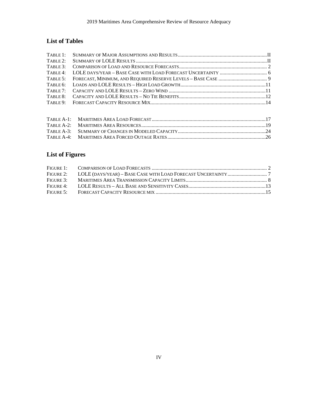## **List of Tables**

| TABLE 1: |                |    |
|----------|----------------|----|
| TABLE 2: |                |    |
| TABLE 3: |                |    |
| TABLE 4: |                |    |
| TABLE 5: |                |    |
| TABLE 6: |                |    |
| TABLE 7: |                |    |
| TABLE 8: |                |    |
|          |                |    |
|          |                |    |
|          | $T_{\text{H}}$ | 17 |

## **List of Figures**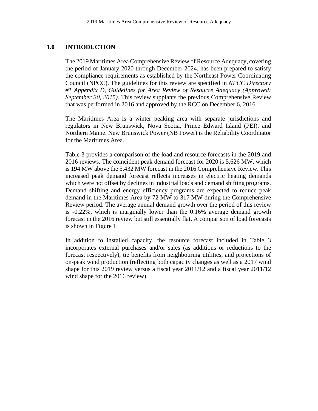## **1.0 INTRODUCTION**

The 2019 Maritimes Area Comprehensive Review of Resource Adequacy, covering the period of January 2020 through December 2024, has been prepared to satisfy the compliance requirements as established by the Northeast Power Coordinating Council (NPCC). The guidelines for this review are specified in *NPCC Directory #1 Appendix D, Guidelines for Area Review of Resource Adequacy (Approved: September 30, 2015)*. This review supplants the previous Comprehensive Review that was performed in 2016 and approved by the RCC on December 6, 2016.

The Maritimes Area is a winter peaking area with separate jurisdictions and regulators in New Brunswick, Nova Scotia, Prince Edward Island (PEI), and Northern Maine. New Brunswick Power (NB Power) is the Reliability Coordinator for the Maritimes Area.

Table 3 provides a comparison of the load and resource forecasts in the 2019 and 2016 reviews. The coincident peak demand forecast for 2020 is 5,626 MW, which is 194 MW above the 5,432 MW forecast in the 2016 Comprehensive Review. This increased peak demand forecast reflects increases in electric heating demands which were not offset by declines in industrial loads and demand shifting programs. Demand shifting and energy efficiency programs are expected to reduce peak demand in the Maritimes Area by 72 MW to 317 MW during the Comprehensive Review period. The average annual demand growth over the period of this review is -0.22%, which is marginally lower than the 0.16% average demand growth forecast in the 2016 review but still essentially flat. A comparison of load forecasts is shown in Figure 1.

In addition to installed capacity, the resource forecast included in Table 3 incorporates external purchases and/or sales (as additions or reductions to the forecast respectively), tie benefits from neighbouring utilities, and projections of on-peak wind production (reflecting both capacity changes as well as a 2017 wind shape for this 2019 review versus a fiscal year 2011/12 and a fiscal year 2011/12 wind shape for the 2016 review).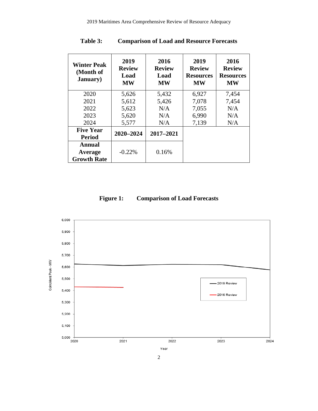| <b>Winter Peak</b><br>(Month of<br>January)    | 2019<br><b>Review</b><br>Load<br><b>MW</b> | 2016<br><b>Review</b><br>Load<br><b>MW</b> | 2019<br><b>Review</b><br><b>Resources</b><br><b>MW</b> | 2016<br><b>Review</b><br><b>Resources</b><br><b>MW</b> |
|------------------------------------------------|--------------------------------------------|--------------------------------------------|--------------------------------------------------------|--------------------------------------------------------|
| 2020                                           | 5,626                                      | 5,432                                      | 6,927                                                  | 7,454                                                  |
| 2021                                           | 5,612                                      | 5,426                                      | 7,078                                                  | 7,454                                                  |
| 2022                                           | 5,623                                      | N/A                                        | 7,055                                                  | N/A                                                    |
| 2023                                           | 5,620                                      | N/A                                        | 6,990                                                  | N/A                                                    |
| 2024                                           | 5,577                                      | N/A                                        | 7,139                                                  | N/A                                                    |
| <b>Five Year</b><br>Period                     | 2020-2024                                  | 2017-2021                                  |                                                        |                                                        |
| <b>Annual</b><br>Average<br><b>Growth Rate</b> | $-0.22%$                                   | 0.16%                                      |                                                        |                                                        |

**Table 3: Comparison of Load and Resource Forecasts**





2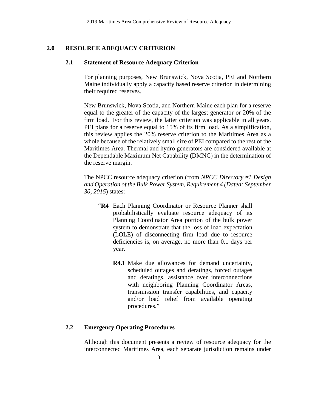### **2.0 RESOURCE ADEQUACY CRITERION**

#### **2.1 Statement of Resource Adequacy Criterion**

For planning purposes, New Brunswick, Nova Scotia, PEI and Northern Maine individually apply a capacity based reserve criterion in determining their required reserves.

New Brunswick, Nova Scotia, and Northern Maine each plan for a reserve equal to the greater of the capacity of the largest generator or 20% of the firm load. For this review, the latter criterion was applicable in all years. PEI plans for a reserve equal to 15% of its firm load. As a simplification, this review applies the 20% reserve criterion to the Maritimes Area as a whole because of the relatively small size of PEI compared to the rest of the Maritimes Area. Thermal and hydro generators are considered available at the Dependable Maximum Net Capability (DMNC) in the determination of the reserve margin.

The NPCC resource adequacy criterion (from *NPCC Directory #1 Design and Operation of the Bulk Power System, Requirement 4 (Dated: September 30, 2015*) states:

- "**R4** Each Planning Coordinator or Resource Planner shall probabilistically evaluate resource adequacy of its Planning Coordinator Area portion of the bulk power system to demonstrate that the loss of load expectation (LOLE) of disconnecting firm load due to resource deficiencies is, on average, no more than 0.1 days per year.
	- **R4.1** Make due allowances for demand uncertainty, scheduled outages and deratings, forced outages and deratings, assistance over interconnections with neighboring Planning Coordinator Areas, transmission transfer capabilities, and capacity and/or load relief from available operating procedures."

#### **2.2 Emergency Operating Procedures**

Although this document presents a review of resource adequacy for the interconnected Maritimes Area, each separate jurisdiction remains under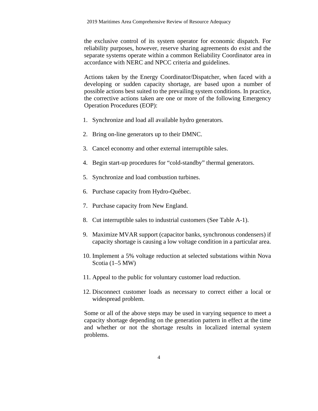the exclusive control of its system operator for economic dispatch. For reliability purposes, however, reserve sharing agreements do exist and the separate systems operate within a common Reliability Coordinator area in accordance with NERC and NPCC criteria and guidelines.

Actions taken by the Energy Coordinator/Dispatcher, when faced with a developing or sudden capacity shortage, are based upon a number of possible actions best suited to the prevailing system conditions. In practice, the corrective actions taken are one or more of the following Emergency Operation Procedures (EOP):

- 1. Synchronize and load all available hydro generators.
- 2. Bring on-line generators up to their DMNC.
- 3. Cancel economy and other external interruptible sales.
- 4. Begin start-up procedures for "cold-standby" thermal generators.
- 5. Synchronize and load combustion turbines.
- 6. Purchase capacity from Hydro-Québec.
- 7. Purchase capacity from New England.
- 8. Cut interruptible sales to industrial customers (See Table A-1).
- 9. Maximize MVAR support (capacitor banks, synchronous condensers) if capacity shortage is causing a low voltage condition in a particular area.
- 10. Implement a 5% voltage reduction at selected substations within Nova Scotia (1–5 MW)
- 11. Appeal to the public for voluntary customer load reduction.
- 12. Disconnect customer loads as necessary to correct either a local or widespread problem.

Some or all of the above steps may be used in varying sequence to meet a capacity shortage depending on the generation pattern in effect at the time and whether or not the shortage results in localized internal system problems.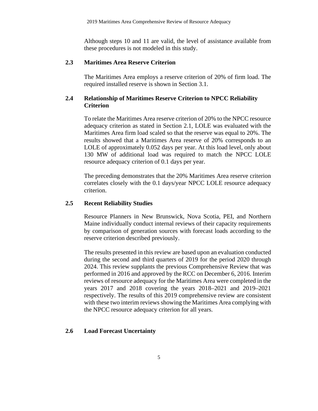Although steps 10 and 11 are valid, the level of assistance available from these procedures is not modeled in this study.

## **2.3 Maritimes Area Reserve Criterion**

The Maritimes Area employs a reserve criterion of 20% of firm load. The required installed reserve is shown in Section 3.1.

## **2.4 Relationship of Maritimes Reserve Criterion to NPCC Reliability Criterion**

To relate the Maritimes Area reserve criterion of 20% to the NPCC resource adequacy criterion as stated in Section 2.1, LOLE was evaluated with the Maritimes Area firm load scaled so that the reserve was equal to 20%. The results showed that a Maritimes Area reserve of 20% corresponds to an LOLE of approximately 0.052 days per year. At this load level, only about 130 MW of additional load was required to match the NPCC LOLE resource adequacy criterion of 0.1 days per year.

The preceding demonstrates that the 20% Maritimes Area reserve criterion correlates closely with the 0.1 days/year NPCC LOLE resource adequacy criterion.

## **2.5 Recent Reliability Studies**

Resource Planners in New Brunswick, Nova Scotia, PEI, and Northern Maine individually conduct internal reviews of their capacity requirements by comparison of generation sources with forecast loads according to the reserve criterion described previously.

The results presented in this review are based upon an evaluation conducted during the second and third quarters of 2019 for the period 2020 through 2024. This review supplants the previous Comprehensive Review that was performed in 2016 and approved by the RCC on December 6, 2016. Interim reviews of resource adequacy for the Maritimes Area were completed in the years 2017 and 2018 covering the years 2018–2021 and 2019–2021 respectively. The results of this 2019 comprehensive review are consistent with these two interim reviews showing the Maritimes Area complying with the NPCC resource adequacy criterion for all years.

## **2.6 Load Forecast Uncertainty**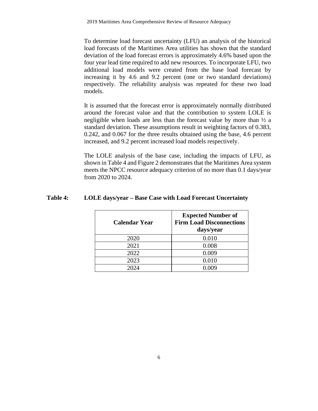To determine load forecast uncertainty (LFU) an analysis of the historical load forecasts of the Maritimes Area utilities has shown that the standard deviation of the load forecast errors is approximately 4.6% based upon the four year lead time required to add new resources. To incorporate LFU, two additional load models were created from the base load forecast by increasing it by 4.6 and 9.2 percent (one or two standard deviations) respectively. The reliability analysis was repeated for these two load models.

It is assumed that the forecast error is approximately normally distributed around the forecast value and that the contribution to system LOLE is negligible when loads are less than the forecast value by more than ½ a standard deviation. These assumptions result in weighting factors of 0.383, 0.242, and 0.067 for the three results obtained using the base, 4.6 percent increased, and 9.2 percent increased load models respectively.

The LOLE analysis of the base case, including the impacts of LFU, as shown in Table 4 and Figure 2 demonstrates that the Maritimes Area system meets the NPCC resource adequacy criterion of no more than 0.1 days/year from 2020 to 2024.

| Table 4: | LOLE days/year – Base Case with Load Forecast Uncertainty |
|----------|-----------------------------------------------------------|
|          |                                                           |

| <b>Calendar Year</b> | <b>Expected Number of</b><br><b>Firm Load Disconnections</b><br>days/year |
|----------------------|---------------------------------------------------------------------------|
| 2020                 | 0.010                                                                     |
| 2021                 | 0.008                                                                     |
| 2022                 | 0.009                                                                     |
| 2023                 | 0.010                                                                     |
| 2024                 |                                                                           |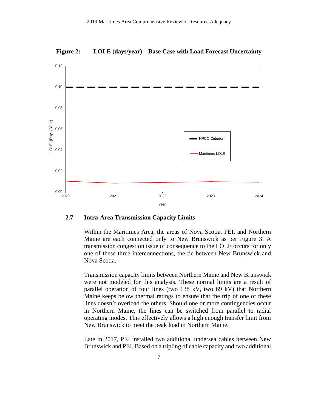

**Figure 2: LOLE (days/year) – Base Case with Load Forecast Uncertainty**

### **2.7 Intra-Area Transmission Capacity Limits**

Within the Maritimes Area, the areas of Nova Scotia, PEI, and Northern Maine are each connected only to New Brunswick as per Figure 3. A transmission congestion issue of consequence to the LOLE occurs for only one of these three interconnections, the tie between New Brunswick and Nova Scotia.

Transmission capacity limits between Northern Maine and New Brunswick were not modeled for this analysis. These normal limits are a result of parallel operation of four lines (two 138 kV, two 69 kV) that Northern Maine keeps below thermal ratings to ensure that the trip of one of these lines doesn't overload the others. Should one or more contingencies occur in Northern Maine, the lines can be switched from parallel to radial operating modes. This effectively allows a high enough transfer limit from New Brunswick to meet the peak load in Northern Maine.

Late in 2017, PEI installed two additional undersea cables between New Brunswick and PEI. Based on a tripling of cable capacity and two additional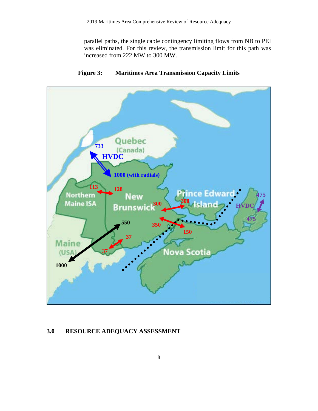parallel paths, the single cable contingency limiting flows from NB to PEI was eliminated. For this review, the transmission limit for this path was increased from 222 MW to 300 MW.



## **Figure 3: Maritimes Area Transmission Capacity Limits**

## **3.0 RESOURCE ADEQUACY ASSESSMENT**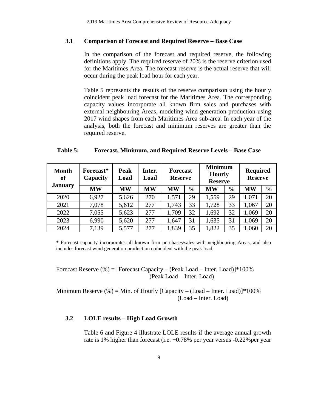#### **3.1 Comparison of Forecast and Required Reserve – Base Case**

In the comparison of the forecast and required reserve, the following definitions apply. The required reserve of 20% is the reserve criterion used for the Maritimes Area. The forecast reserve is the actual reserve that will occur during the peak load hour for each year.

Table 5 represents the results of the reserve comparison using the hourly coincident peak load forecast for the Maritimes Area. The corresponding capacity values incorporate all known firm sales and purchases with external neighbouring Areas, modeling wind generation production using 2017 wind shapes from each Maritimes Area sub-area. In each year of the analysis, both the forecast and minimum reserves are greater than the required reserve.

#### **Table 5: Forecast, Minimum, and Required Reserve Levels – Base Case**

| <b>Month</b><br>of | Forecast*<br>Capacity | Peak<br>Load | Inter.<br>Load | <b>Forecast</b><br><b>Reserve</b> |               | <b>Minimum</b><br><b>Hourly</b><br><b>Reserve</b> |               | <b>Required</b><br><b>Reserve</b> |               |
|--------------------|-----------------------|--------------|----------------|-----------------------------------|---------------|---------------------------------------------------|---------------|-----------------------------------|---------------|
| <b>January</b>     | <b>MW</b>             | <b>MW</b>    | <b>MW</b>      | <b>MW</b>                         | $\frac{6}{6}$ | <b>MW</b>                                         | $\frac{6}{6}$ | <b>MW</b>                         | $\frac{0}{0}$ |
| 2020               | 6,927                 | 5,626        | 270            | 1,571                             | 29            | 1,559                                             | 29            | 1,071                             | 20            |
| 2021               | 7,078                 | 5,612        | 277            | 1,743                             | 33            | 1,728                                             | 33            | 1,067                             | 20            |
| 2022               | 7,055                 | 5,623        | 277            | 1,709                             | 32            | 1,692                                             | 32            | 1,069                             | 20            |
| 2023               | 6,990                 | 5,620        | 277            | 1,647                             | 31            | 1,635                                             | 31            | 1,069                             | 20            |
| 2024               | 7,139                 | 5,577        | 277            | 1,839                             | 35            | 1,822                                             | 35            | 1,060                             | 20            |

\* Forecast capacity incorporates all known firm purchases/sales with neighbouring Areas, and also includes forecast wind generation production coincident with the peak load.

Forecast Reserve 
$$
(\%) = [\frac{\text{Forecast Capacity} - (\text{Peak Load} - \text{Inter. Load})}{\text{(Peak Load} - \text{Inter. Load})}] * 100\%
$$

\n(Peak Load - \text{Inter. Load})

Minimum Reserve  $%$  = Min. of Hourly [Capacity – (Load – Inter. Load)]\*100% (Load – Inter. Load)

#### **3.2 LOLE results – High Load Growth**

Table 6 and Figure 4 illustrate LOLE results if the average annual growth rate is 1% higher than forecast (i.e. +0.78% per year versus -0.22%per year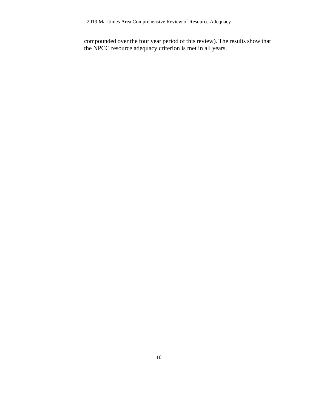compounded over the four year period of this review). The results show that the NPCC resource adequacy criterion is met in all years.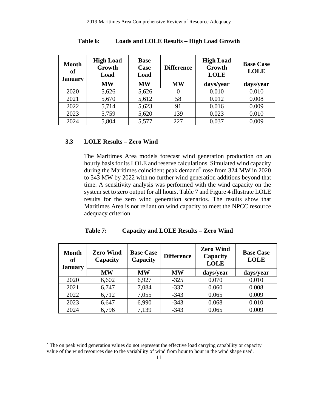| <b>Month</b><br>of<br><b>January</b> | <b>High Load</b><br>Growth<br>Load | <b>Base</b><br>Case<br>Load | <b>Difference</b> | <b>High Load</b><br>Growth<br><b>LOLE</b> | <b>Base Case</b><br><b>LOLE</b> |
|--------------------------------------|------------------------------------|-----------------------------|-------------------|-------------------------------------------|---------------------------------|
|                                      | <b>MW</b>                          | <b>MW</b>                   | <b>MW</b>         | days/year                                 | days/year                       |
| 2020                                 | 5,626                              | 5,626                       |                   | 0.010                                     | 0.010                           |
| 2021                                 | 5,670                              | 5,612                       | 58                | 0.012                                     | 0.008                           |
| 2022                                 | 5,714                              | 5,623                       | 91                | 0.016                                     | 0.009                           |
| 2023                                 | 5,759                              | 5,620                       | 139               | 0.023                                     | 0.010                           |
| 2024                                 | 5,804                              | 5,577                       | 227               | 0.037                                     | 0.009                           |

**Table 6: Loads and LOLE Results – High Load Growth**

### **3.3 LOLE Results – Zero Wind**

The Maritimes Area models forecast wind generation production on an hourly basis for its LOLE and reserve calculations. Simulated wind capacity during the Maritimes coincident peak demand[\\*](#page-16-0) rose from 324 MW in 2020 to 343 MW by 2022 with no further wind generation additions beyond that time. A sensitivity analysis was performed with the wind capacity on the system set to zero output for all hours. Table 7 and Figure 4 illustrate LOLE results for the zero wind generation scenarios. The results show that Maritimes Area is not reliant on wind capacity to meet the NPCC resource adequacy criterion.

|  | Table 7: |  |  |  | Capacity and LOLE Results - Zero Wind |  |  |
|--|----------|--|--|--|---------------------------------------|--|--|
|--|----------|--|--|--|---------------------------------------|--|--|

| <b>Month</b><br><sub>of</sub><br><b>January</b> | <b>Zero Wind</b><br>Capacity | <b>Base Case</b><br>Capacity | <b>Difference</b> | <b>Zero Wind</b><br>Capacity<br><b>LOLE</b> | <b>Base Case</b><br><b>LOLE</b> |
|-------------------------------------------------|------------------------------|------------------------------|-------------------|---------------------------------------------|---------------------------------|
|                                                 | <b>MW</b>                    | <b>MW</b>                    | <b>MW</b>         | days/year                                   | days/year                       |
| 2020                                            | 6,602                        | 6,927                        | $-325$            | 0.070                                       | 0.010                           |
| 2021                                            | 6,747                        | 7,084                        | $-337$            | 0.060                                       | 0.008                           |
| 2022                                            | 6,712                        | 7,055                        | $-343$            | 0.065                                       | 0.009                           |
| 2023                                            | 6,647                        | 6,990                        | $-343$            | 0.068                                       | 0.010                           |
| 2024                                            | 6,796                        | 7,139                        | $-343$            | 0.065                                       | 0.009                           |

<span id="page-16-0"></span><sup>\*</sup> The on peak wind generation values do not represent the effective load carrying capability or capacity value of the wind resources due to the variability of wind from hour to hour in the wind shape used.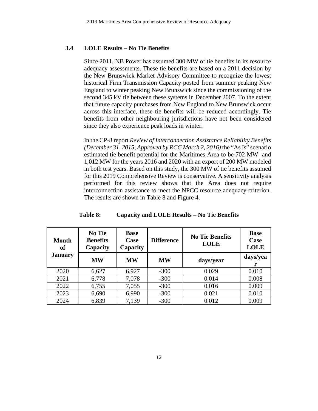### **3.4 LOLE Results – No Tie Benefits**

Since 2011, NB Power has assumed 300 MW of tie benefits in its resource adequacy assessments. These tie benefits are based on a 2011 decision by the New Brunswick Market Advisory Committee to recognize the lowest historical Firm Transmission Capacity posted from summer peaking New England to winter peaking New Brunswick since the commissioning of the second 345 kV tie between these systems in December 2007. To the extent that future capacity purchases from New England to New Brunswick occur across this interface, these tie benefits will be reduced accordingly. Tie benefits from other neighbouring jurisdictions have not been considered since they also experience peak loads in winter.

In the CP-8 report *Review of Interconnection Assistance Reliability Benefits (December 31, 2015, Approved by RCC March 2, 2016)* the "As Is" scenario estimated tie benefit potential for the Maritimes Area to be 702 MW and 1,012 MW for the years 2016 and 2020 with an export of 200 MW modeled in both test years. Based on this study, the 300 MW of tie benefits assumed for this 2019 Comprehensive Review is conservative. A sensitivity analysis performed for this review shows that the Area does not require interconnection assistance to meet the NPCC resource adequacy criterion. The results are shown in Table 8 and Figure 4.

| Month<br>of    | <b>No Tie</b><br><b>Benefits</b><br>Capacity | <b>Base</b><br>Case<br>Capacity | <b>Difference</b> | <b>No Tie Benefits</b><br><b>LOLE</b> | <b>Base</b><br>Case<br><b>LOLE</b> |
|----------------|----------------------------------------------|---------------------------------|-------------------|---------------------------------------|------------------------------------|
| <b>January</b> | <b>MW</b>                                    | <b>MW</b>                       | <b>MW</b>         | days/year                             | days/yea<br>r                      |
| 2020           | 6,627                                        | 6,927                           | $-300$            | 0.029                                 | 0.010                              |
| 2021           | 6,778                                        | 7,078                           | $-300$            | 0.014                                 | 0.008                              |
| 2022           | 6,755                                        | 7,055                           | $-300$            | 0.016                                 | 0.009                              |
| 2023           | 6,690                                        | 6,990                           | $-300$            | 0.021                                 | 0.010                              |
| 2024           | 6,839                                        | 7,139                           | $-300$            | 0.012                                 | 0.009                              |

**Table 8: Capacity and LOLE Results – No Tie Benefits**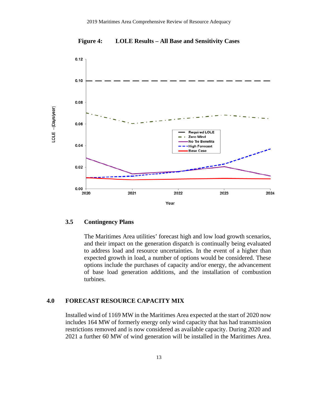

**Figure 4: LOLE Results – All Base and Sensitivity Cases**

### **3.5 Contingency Plans**

The Maritimes Area utilities' forecast high and low load growth scenarios, and their impact on the generation dispatch is continually being evaluated to address load and resource uncertainties. In the event of a higher than expected growth in load, a number of options would be considered. These options include the purchases of capacity and/or energy, the advancement of base load generation additions, and the installation of combustion turbines.

## **4.0 FORECAST RESOURCE CAPACITY MIX**

Installed wind of 1169 MW in the Maritimes Area expected at the start of 2020 now includes 164 MW of formerly energy only wind capacity that has had transmission restrictions removed and is now considered as available capacity. During 2020 and 2021 a further 60 MW of wind generation will be installed in the Maritimes Area.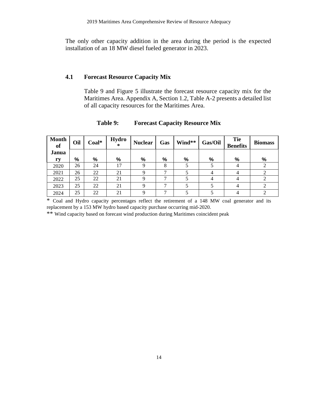The only other capacity addition in the area during the period is the expected installation of an 18 MW diesel fueled generator in 2023.

### **4.1 Forecast Resource Capacity Mix**

Table 9 and Figure 5 illustrate the forecast resource capacity mix for the Maritimes Area. Appendix A, Section 1.2, Table A-2 presents a detailed list of all capacity resources for the Maritimes Area.

| <b>Month</b><br>of | Oil | Coal* | Hydro<br>∗ | <b>Nuclear</b> | Gas | Wind** | Gas/Oil | <b>Tie</b><br><b>Benefits</b> | <b>Biomass</b> |
|--------------------|-----|-------|------------|----------------|-----|--------|---------|-------------------------------|----------------|
| Janua              |     |       |            |                |     |        |         |                               |                |
| ry                 | %   | %     | %          | %              | %   | %      | %       | %                             | %              |
| 2020               | 26  | 24    | 17         | Q              | 8   |        |         | 4                             |                |
| 2021               | 26  | 22    | 21         |                | ⇁   |        |         | 4                             |                |
| 2022               | 25  | 22    | 21         |                | ┑   |        |         | 4                             |                |
| 2023               | 25  | 22    | 21         | Q              | ⇁   |        |         | 4                             |                |
| 2024               | 25  | 22    | 21         | Q              | 7   |        |         | 4                             |                |

**Table 9: Forecast Capacity Resource Mix**

\* Coal and Hydro capacity percentages reflect the retirement of a 148 MW coal generator and its replacement by a 153 MW hydro based capacity purchase occurring mid-2020.

\*\* Wind capacity based on forecast wind production during Maritimes coincident peak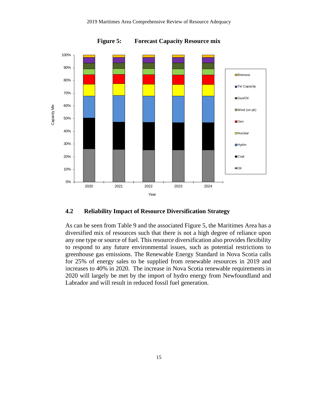

**Figure 5: Forecast Capacity Resource mix**

### **4.2 Reliability Impact of Resource Diversification Strategy**

As can be seen from Table 9 and the associated Figure 5, the Maritimes Area has a diversified mix of resources such that there is not a high degree of reliance upon any one type or source of fuel. This resource diversification also provides flexibility to respond to any future environmental issues, such as potential restrictions to greenhouse gas emissions. The Renewable Energy Standard in Nova Scotia calls for 25% of energy sales to be supplied from renewable resources in 2019 and increases to 40% in 2020. The increase in Nova Scotia renewable requirements in 2020 will largely be met by the import of hydro energy from Newfoundland and Labrador and will result in reduced fossil fuel generation.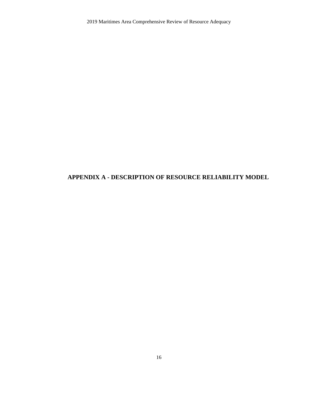## **APPENDIX A - DESCRIPTION OF RESOURCE RELIABILITY MODEL**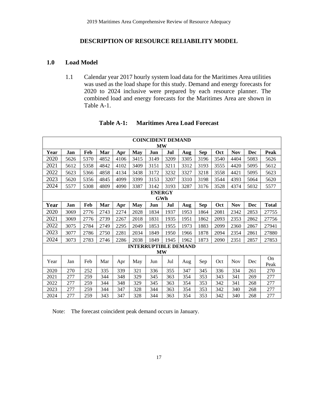### **DESCRIPTION OF RESOURCE RELIABILITY MODEL**

### **1.0 Load Model**

1.1 Calendar year 2017 hourly system load data for the Maritimes Area utilities was used as the load shape for this study. Demand and energy forecasts for 2020 to 2024 inclusive were prepared by each resource planner. The combined load and energy forecasts for the Maritimes Area are shown in Table A-1.

|      | <b>COINCIDENT DEMAND</b> |      |      |      |            |                             |            |      |            |      |            |            |              |
|------|--------------------------|------|------|------|------------|-----------------------------|------------|------|------------|------|------------|------------|--------------|
|      | <b>MW</b>                |      |      |      |            |                             |            |      |            |      |            |            |              |
| Year | Jan                      | Feb  | Mar  | Apr  | <b>May</b> | Jun                         | Jul        | Aug  | <b>Sep</b> | Oct  | <b>Nov</b> | <b>Dec</b> | Peak         |
| 2020 | 5626                     | 5370 | 4852 | 4106 | 3415       | 3149                        | 3209       | 3305 | 3196       | 3540 | 4404       | 5083       | 5626         |
| 2021 | 5612                     | 5358 | 4842 | 4102 | 3409       | 3151                        | 3211       | 3312 | 3193       | 3555 | 4420       | 5095       | 5612         |
| 2022 | 5623                     | 5366 | 4858 | 4134 | 3438       | 3172                        | 3232       | 3327 | 3218       | 3558 | 4421       | 5095       | 5623         |
| 2023 | 5620                     | 5356 | 4845 | 4099 | 3399       | 3153                        | 3207       | 3310 | 3198       | 3544 | 4393       | 5064       | 5620         |
| 2024 | 5577                     | 5308 | 4809 | 4090 | 3387       | 3142                        | 3193       | 3287 | 3176       | 3528 | 4374       | 5032       | 5577         |
|      |                          |      |      |      |            | <b>ENERGY</b>               |            |      |            |      |            |            |              |
|      |                          |      |      |      |            |                             | <b>GWh</b> |      |            |      |            |            |              |
| Year | <b>Jan</b>               | Feb  | Mar  | Apr  | <b>May</b> | Jun                         | Jul        | Aug  | Sep        | Oct  | <b>Nov</b> | Dec        | <b>Total</b> |
| 2020 | 3069                     | 2776 | 2743 | 2274 | 2028       | 1834                        | 1937       | 1953 | 1864       | 2081 | 2342       | 2853       | 27755        |
| 2021 | 3069                     | 2776 | 2739 | 2267 | 2018       | 1831                        | 1935       | 1951 | 1862       | 2093 | 2353       | 2862       | 27756        |
| 2022 | 3075                     | 2784 | 2749 | 2295 | 2049       | 1853                        | 1955       | 1973 | 1883       | 2099 | 2360       | 2867       | 27941        |
| 2023 | 3077                     | 2786 | 2750 | 2281 | 2034       | 1849                        | 1950       | 1966 | 1878       | 2094 | 2354       | 2861       | 27880        |
| 2024 | 3073                     | 2783 | 2746 | 2286 | 2038       | 1849                        | 1945       | 1962 | 1873       | 2090 | 2351       | 2857       | 27853        |
|      |                          |      |      |      |            | <b>INTERRUPTIBLE DEMAND</b> |            |      |            |      |            |            |              |
|      |                          |      |      |      |            | <b>MW</b>                   |            |      |            |      |            |            |              |
| Year | Jan                      | Feb  | Mar  | Apr  | May        | Jun                         | Jul        | Aug  | Sep        | Oct  | <b>Nov</b> | Dec        | On           |
|      |                          |      |      |      |            |                             |            |      |            |      |            |            | Peak         |
| 2020 | 270                      | 252  | 335  | 339  | 321        | 336                         | 355        | 347  | 345        | 336  | 334        | 261        | 270          |
| 2021 | 277                      | 259  | 344  | 348  | 329        | 345                         | 363        | 354  | 353        | 343  | 341        | 269        | 277          |
| 2022 | 277                      | 259  | 344  | 348  | 329        | 345                         | 363        | 354  | 353        | 342  | 341        | 268        | 277          |
| 2023 | 277                      | 259  | 344  | 347  | 328        | 344                         | 363        | 354  | 353        | 342  | 340        | 268        | 277          |
| 2024 | 277                      | 259  | 343  | 347  | 328        | 344                         | 363        | 354  | 353        | 342  | 340        | 268        | 277          |

| <b>Table A-1:</b> | <b>Maritimes Area Load Forecast</b> |  |  |
|-------------------|-------------------------------------|--|--|
|                   |                                     |  |  |

Note: The forecast coincident peak demand occurs in January.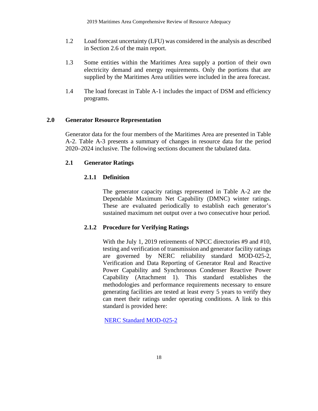- 1.2 Load forecast uncertainty (LFU) was considered in the analysis as described in Section 2.6 of the main report.
- 1.3 Some entities within the Maritimes Area supply a portion of their own electricity demand and energy requirements. Only the portions that are supplied by the Maritimes Area utilities were included in the area forecast.
- 1.4 The load forecast in Table A-1 includes the impact of DSM and efficiency programs.

## **2.0 Generator Resource Representation**

Generator data for the four members of the Maritimes Area are presented in Table A-2. Table A-3 presents a summary of changes in resource data for the period 2020–2024 inclusive. The following sections document the tabulated data.

## **2.1 Generator Ratings**

## **2.1.1 Definition**

The generator capacity ratings represented in Table A-2 are the Dependable Maximum Net Capability (DMNC) winter ratings. These are evaluated periodically to establish each generator's sustained maximum net output over a two consecutive hour period.

## **2.1.2 Procedure for Verifying Ratings**

With the July 1, 2019 retirements of NPCC directories #9 and #10, testing and verification of transmission and generator facility ratings are governed by NERC reliability standard MOD-025-2, Verification and Data Reporting of Generator Real and Reactive Power Capability and Synchronous Condenser Reactive Power Capability (Attachment 1). This standard establishes the methodologies and performance requirements necessary to ensure generating facilities are tested at least every 5 years to verify they can meet their ratings under operating conditions. A link to this standard is provided here:

[NERC Standard MOD-025-2](https://www.nerc.com/files/MOD-025-2.pdf)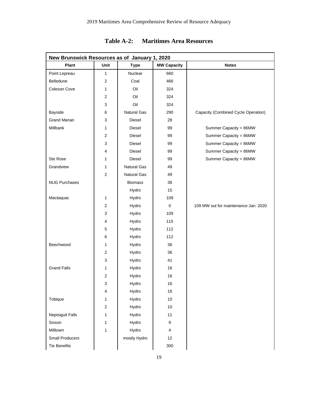|                         | New Brunswick Resources as of January 1, 2020 |                    |                    |                                      |  |  |  |  |
|-------------------------|-----------------------------------------------|--------------------|--------------------|--------------------------------------|--|--|--|--|
| Plant                   | Unit                                          | <b>Type</b>        | <b>MW Capacity</b> | <b>Notes</b>                         |  |  |  |  |
| Point Lepreau           | $\mathbf{1}$                                  | Nuclear            | 660                |                                      |  |  |  |  |
| Belledune               | 2                                             | Coal               | 466                |                                      |  |  |  |  |
| Coleson Cove            | $\mathbf{1}$                                  | Oil                | 324                |                                      |  |  |  |  |
|                         | 2                                             | Oil                | 324                |                                      |  |  |  |  |
|                         | 3                                             | Oil                | 324                |                                      |  |  |  |  |
| Bayside                 | 6                                             | <b>Natural Gas</b> | 290                | Capacity (Combined Cycle Operation)  |  |  |  |  |
| <b>Grand Manan</b>      | 3                                             | Diesel             | 28                 |                                      |  |  |  |  |
| Millbank                | 1                                             | Diesel             | 99                 | Summer Capacity = 86MW               |  |  |  |  |
|                         | 2                                             | Diesel             | 99                 | Summer Capacity = 86MW               |  |  |  |  |
|                         | 3                                             | Diesel             | 99                 | Summer Capacity = 86MW               |  |  |  |  |
|                         | 4                                             | Diesel             | 99                 | Summer Capacity = 86MW               |  |  |  |  |
| Ste Rose                | $\mathbf{1}$                                  | Diesel             | 99                 | Summer Capacity = 86MW               |  |  |  |  |
| Grandview               | $\mathbf{1}$                                  | <b>Natural Gas</b> | 49                 |                                      |  |  |  |  |
|                         | $\overline{2}$                                | <b>Natural Gas</b> | 49                 |                                      |  |  |  |  |
| <b>NUG Purchases</b>    |                                               | <b>Biomass</b>     | 38                 |                                      |  |  |  |  |
|                         |                                               | Hydro              | 15                 |                                      |  |  |  |  |
| Mactaquac               | 1                                             | Hydro              | 109                |                                      |  |  |  |  |
|                         | 2                                             | Hydro              | $\mathbf 0$        | 109 MW out for maintenance Jan. 2020 |  |  |  |  |
|                         | 3                                             | Hydro              | 109                |                                      |  |  |  |  |
|                         | 4                                             | Hydro              | 115                |                                      |  |  |  |  |
|                         | 5                                             | Hydro              | 112                |                                      |  |  |  |  |
|                         | 6                                             | Hydro              | 112                |                                      |  |  |  |  |
| Beechwood               | $\mathbf{1}$                                  | Hydro              | 36                 |                                      |  |  |  |  |
|                         | 2                                             | Hydro              | 36                 |                                      |  |  |  |  |
|                         | 3                                             | Hydro              | 41                 |                                      |  |  |  |  |
| <b>Grand Falls</b>      | 1                                             | Hydro              | 16                 |                                      |  |  |  |  |
|                         | $\overline{2}$                                | Hydro              | 16                 |                                      |  |  |  |  |
|                         | 3                                             | Hydro              | 16                 |                                      |  |  |  |  |
|                         | 4                                             | Hydro              | 16                 |                                      |  |  |  |  |
| Tobique                 | $\mathbf{1}$                                  | Hydro              | 10                 |                                      |  |  |  |  |
|                         | $\overline{2}$                                | Hydro              | 10                 |                                      |  |  |  |  |
| <b>Nepisiguit Falls</b> | 1                                             | Hydro              | 11                 |                                      |  |  |  |  |
| Sisson                  | 1                                             | Hydro              | 9                  |                                      |  |  |  |  |
| Milltown                | $\mathbf{1}$                                  | Hydro              | 4                  |                                      |  |  |  |  |
| <b>Small Producers</b>  |                                               | mostly Hydro       | 12                 |                                      |  |  |  |  |
| <b>Tie Benefits</b>     |                                               |                    | 300                |                                      |  |  |  |  |

**Table A-2: Maritimes Area Resources**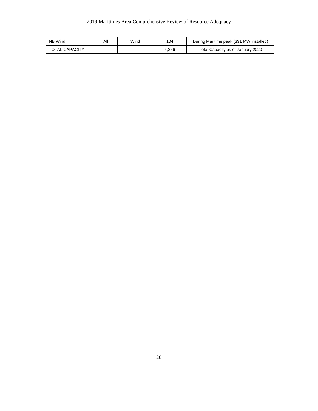## 2019 Maritimes Area Comprehensive Review of Resource Adequacy

| NB Wind               | All | Wind | 104   | During Maritime peak (331 MW installed) |
|-----------------------|-----|------|-------|-----------------------------------------|
| <b>TOTAL CAPACITY</b> |     |      | 4.256 | Total Capacity as of January 2020       |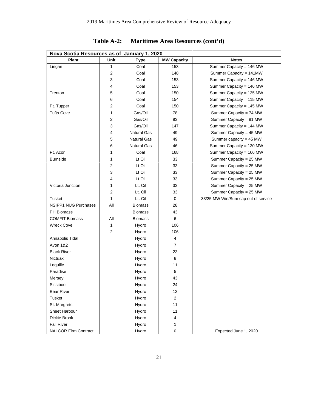|                             | Nova Scotia Resources as of January 1, 2020 |                    |                    |                                     |  |  |  |
|-----------------------------|---------------------------------------------|--------------------|--------------------|-------------------------------------|--|--|--|
| <b>Plant</b>                | Unit                                        | <b>Type</b>        | <b>MW Capacity</b> | <b>Notes</b>                        |  |  |  |
| Lingan                      | $\mathbf{1}$                                | Coal               | 153                | Summer Capacity = 146 MW            |  |  |  |
|                             | 2                                           | Coal               | 148                | Summer Capacity = 141MW             |  |  |  |
|                             | 3                                           | Coal               | 153                | Summer Capacity = 146 MW            |  |  |  |
|                             | 4                                           | Coal               | 153                | Summer Capacity = 146 MW            |  |  |  |
| Trenton                     | 5                                           | Coal               | 150                | Summer Capacity = 135 MW            |  |  |  |
|                             | 6                                           | Coal               | 154                | Summer Capacity = 115 MW            |  |  |  |
| Pt. Tupper                  | 2                                           | Coal               | 150                | Summer Capacity = 145 MW            |  |  |  |
| <b>Tufts Cove</b>           | 1                                           | Gas/Oil            | 78                 | Summer Capacity = 74 MW             |  |  |  |
|                             | 2                                           | Gas/Oil            | 93                 | Summer Capacity = 91 MW             |  |  |  |
|                             | 3                                           | Gas/Oil            | 147                | Summer Capacity = 144 MW            |  |  |  |
|                             | 4                                           | <b>Natural Gas</b> | 49                 | Summer Capacity = 45 MW             |  |  |  |
|                             | 5                                           | <b>Natural Gas</b> | 49                 | Summer capacity = 45 MW             |  |  |  |
|                             | 6                                           | <b>Natural Gas</b> | 46                 | Summer Capacity = 130 MW            |  |  |  |
| Pt. Aconi                   | 1                                           | Coal               | 168                | Summer Capacity = 166 MW            |  |  |  |
| <b>Burnside</b>             | 1                                           | Lt Oil             | 33                 | Summer Capacity = 25 MW             |  |  |  |
|                             | 2                                           | Lt Oil             | 33                 | Summer Capacity = 25 MW             |  |  |  |
|                             | 3                                           | Lt Oil             | 33                 | Summer Capacity = 25 MW             |  |  |  |
|                             | 4                                           | Lt Oil             | 33                 | Summer Capacity = 25 MW             |  |  |  |
| Victoria Junction           | 1                                           | Lt. Oil            | 33                 | Summer Capacity = 25 MW             |  |  |  |
|                             | 2                                           | Lt. Oil            | 33                 | Summer Capacity = 25 MW             |  |  |  |
| Tusket                      | 1                                           | Lt. Oil            | 0                  | 33/25 MW Win/Sum cap out of service |  |  |  |
| <b>NSIPP1 NUG Purchases</b> | All                                         | <b>Biomass</b>     | 28                 |                                     |  |  |  |
| PH Biomass                  |                                             | <b>Biomass</b>     | 43                 |                                     |  |  |  |
| <b>COMFIT Biomass</b>       | All                                         | <b>Biomass</b>     | 6                  |                                     |  |  |  |
| <b>Wreck Cove</b>           | 1                                           | Hydro              | 106                |                                     |  |  |  |
|                             | 2                                           | Hydro              | 106                |                                     |  |  |  |
| Annapolis Tidal             |                                             | Hydro              | 4                  |                                     |  |  |  |
| Avon 1&2                    |                                             | Hydro              | $\overline{7}$     |                                     |  |  |  |
| <b>Black River</b>          |                                             | Hydro              | 23                 |                                     |  |  |  |
| <b>Nictuax</b>              |                                             | Hydro              | 8                  |                                     |  |  |  |
| Lequille                    |                                             | Hydro              | 11                 |                                     |  |  |  |
| Paradise                    |                                             | Hydro              | 5                  |                                     |  |  |  |
| Mersey                      |                                             | Hydro              | 43                 |                                     |  |  |  |
| Sissiboo                    |                                             | Hydro              | 24                 |                                     |  |  |  |
| <b>Bear River</b>           |                                             | Hydro              | 13                 |                                     |  |  |  |
| Tusket                      |                                             | Hydro              | $\mathbf{2}$       |                                     |  |  |  |
| St. Margrets                |                                             | Hydro              | 11                 |                                     |  |  |  |
| Sheet Harbour               |                                             | Hydro              | 11                 |                                     |  |  |  |
| Dickie Brook                |                                             | Hydro              | 4                  |                                     |  |  |  |
| <b>Fall River</b>           |                                             | Hydro              | 1                  |                                     |  |  |  |
| <b>NALCOR Firm Contract</b> |                                             | Hydro              | 0                  | Expected June 1, 2020               |  |  |  |

**Table A-2: Maritimes Area Resources (cont'd)**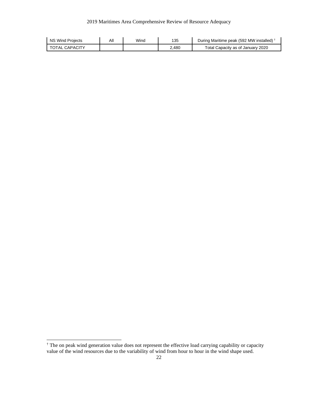| NS Wind Projects | Αll | Wind | 135   | During Maritime peak (592 MW installed) <sup>†</sup> |
|------------------|-----|------|-------|------------------------------------------------------|
| TOTAL CAPACITY   |     |      | ∠.480 | Total Capacity as of January 2020                    |

<span id="page-27-0"></span><sup>†</sup> The on peak wind generation value does not represent the effective load carrying capability or capacity value of the wind resources due to the variability of wind from hour to hour in the wind shape used.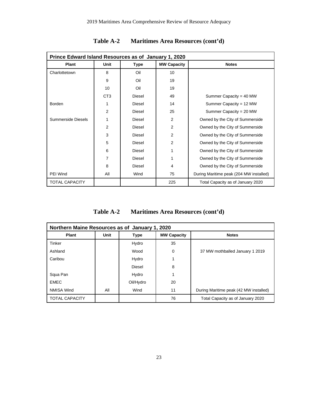|                       | Prince Edward Island Resources as of January 1, 2020 |               |                    |                                         |  |  |  |  |
|-----------------------|------------------------------------------------------|---------------|--------------------|-----------------------------------------|--|--|--|--|
| Plant                 | <b>Unit</b>                                          | <b>Type</b>   | <b>MW Capacity</b> | <b>Notes</b>                            |  |  |  |  |
| Charlottetown         | 8                                                    | Oil           | 10                 |                                         |  |  |  |  |
|                       | 9                                                    | Oil           | 19                 |                                         |  |  |  |  |
|                       | 10                                                   | Oil           | 19                 |                                         |  |  |  |  |
|                       | C <sub>T</sub> 3                                     | <b>Diesel</b> | 49                 | Summer Capacity = 40 MW                 |  |  |  |  |
| Borden                |                                                      | Diesel        | 14                 | Summer Capacity = 12 MW                 |  |  |  |  |
|                       | $\overline{2}$                                       | Diesel        | 25                 | Summer Capacity = 20 MW                 |  |  |  |  |
| Summerside Diesels    | 1                                                    | Diesel        | 2                  | Owned by the City of Summerside         |  |  |  |  |
|                       | $\overline{2}$                                       | Diesel        | $\mathfrak{p}$     | Owned by the City of Summerside         |  |  |  |  |
|                       | 3                                                    | Diesel        | $\overline{2}$     | Owned by the City of Summerside         |  |  |  |  |
|                       | 5                                                    | Diesel        | 2                  | Owned by the City of Summerside         |  |  |  |  |
|                       | 6                                                    | Diesel        | 1                  | Owned by the City of Summerside         |  |  |  |  |
|                       | 7                                                    | Diesel        |                    | Owned by the City of Summerside         |  |  |  |  |
|                       | 8                                                    | Diesel        | 4                  | Owned by the City of Summerside         |  |  |  |  |
| <b>PEI Wind</b>       | All                                                  | Wind          | 75                 | During Maritime peak (204 MW installed) |  |  |  |  |
| <b>TOTAL CAPACITY</b> |                                                      |               | 225                | Total Capacity as of January 2020       |  |  |  |  |

**Table A-2 Maritimes Area Resources (cont'd)**

**Table A-2 Maritimes Area Resources (cont'd)**

| Northern Maine Resources as of January 1, 2020 |      |             |                    |                                        |  |  |
|------------------------------------------------|------|-------------|--------------------|----------------------------------------|--|--|
| <b>Plant</b>                                   | Unit | <b>Type</b> | <b>MW Capacity</b> | <b>Notes</b>                           |  |  |
| Tinker                                         |      | Hydro       | 35                 |                                        |  |  |
| Ashland                                        |      | Wood        | 0                  | 37 MW mothballed January 1 2019        |  |  |
| Caribou                                        |      | Hydro       |                    |                                        |  |  |
|                                                |      | Diesel      | 8                  |                                        |  |  |
| Squa Pan                                       |      | Hydro       |                    |                                        |  |  |
| <b>EMEC</b>                                    |      | Oil/Hydro   | 20                 |                                        |  |  |
| <b>NMISA Wind</b>                              | All  | Wind        | 11                 | During Maritime peak (42 MW installed) |  |  |
| <b>TOTAL CAPACITY</b>                          |      |             | 76                 | Total Capacity as of January 2020      |  |  |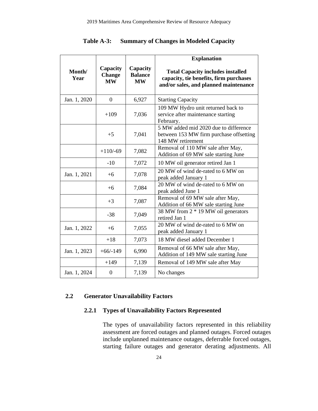|                |                                        |                                        | <b>Explanation</b>                                                                                                          |  |
|----------------|----------------------------------------|----------------------------------------|-----------------------------------------------------------------------------------------------------------------------------|--|
| Month/<br>Year | Capacity<br><b>Change</b><br><b>MW</b> | Capacity<br><b>Balance</b><br>$\bf MW$ | <b>Total Capacity includes installed</b><br>capacity, tie benefits, firm purchases<br>and/or sales, and planned maintenance |  |
| Jan. 1, 2020   | $\Omega$                               | 6,927                                  | <b>Starting Capacity</b>                                                                                                    |  |
|                | $+109$                                 | 7,036                                  | 109 MW Hydro unit returned back to<br>service after maintenance starting<br>February.                                       |  |
|                | $+5$                                   | 7,041                                  | 5 MW added mid 2020 due to difference<br>between 153 MW firm purchase offsetting<br>148 MW retirement                       |  |
|                | $+110/-69$                             | 7,082                                  | Removal of 110 MW sale after May,<br>Addition of 69 MW sale starting June                                                   |  |
|                | $-10$                                  | 7,072                                  | 10 MW oil generator retired Jan 1                                                                                           |  |
| Jan. 1, 2021   | $+6$                                   | 7,078                                  | 20 MW of wind de-rated to 6 MW on<br>peak added January 1                                                                   |  |
|                | $+6$                                   | 7,084                                  | 20 MW of wind de-rated to 6 MW on<br>peak added June 1                                                                      |  |
|                | $+3$                                   | 7,087                                  | Removal of 69 MW sale after May,<br>Addition of 66 MW sale starting June                                                    |  |
|                | $-38$                                  | 7,049                                  | 38 MW from 2 * 19 MW oil generators<br>retired Jan 1                                                                        |  |
| Jan. 1, 2022   | $+6$                                   | 7,055                                  | 20 MW of wind de-rated to 6 MW on<br>peak added January 1                                                                   |  |
|                | $+18$                                  | 7,073                                  | 18 MW diesel added December 1                                                                                               |  |
| Jan. 1, 2023   | $+66/-149$                             | 6,990                                  | Removal of 66 MW sale after May,<br>Addition of 149 MW sale starting June                                                   |  |
|                | $+149$                                 | 7,139                                  | Removal of 149 MW sale after May                                                                                            |  |
| Jan. 1, 2024   | $\overline{0}$                         | 7,139                                  | No changes                                                                                                                  |  |

**Table A-3: Summary of Changes in Modeled Capacity**

## **2.2 Generator Unavailability Factors**

## **2.2.1 Types of Unavailability Factors Represented**

The types of unavailability factors represented in this reliability assessment are forced outages and planned outages. Forced outages include unplanned maintenance outages, deferrable forced outages, starting failure outages and generator derating adjustments. All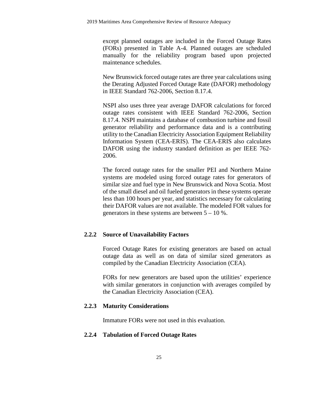except planned outages are included in the Forced Outage Rates (FORs) presented in Table A-4. Planned outages are scheduled manually for the reliability program based upon projected maintenance schedules.

New Brunswick forced outage rates are three year calculations using the Derating Adjusted Forced Outage Rate (DAFOR) methodology in IEEE Standard 762-2006, Section 8.17.4.

NSPI also uses three year average DAFOR calculations for forced outage rates consistent with IEEE Standard 762-2006, Section 8.17.4. NSPI maintains a database of combustion turbine and fossil generator reliability and performance data and is a contributing utility to the Canadian Electricity Association Equipment Reliability Information System (CEA-ERIS). The CEA-ERIS also calculates DAFOR using the industry standard definition as per IEEE 762- 2006.

The forced outage rates for the smaller PEI and Northern Maine systems are modeled using forced outage rates for generators of similar size and fuel type in New Brunswick and Nova Scotia. Most of the small diesel and oil fueled generators in these systems operate less than 100 hours per year, and statistics necessary for calculating their DAFOR values are not available. The modeled FOR values for generators in these systems are between  $5 - 10\%$ .

### **2.2.2 Source of Unavailability Factors**

Forced Outage Rates for existing generators are based on actual outage data as well as on data of similar sized generators as compiled by the Canadian Electricity Association (CEA).

FORs for new generators are based upon the utilities' experience with similar generators in conjunction with averages compiled by the Canadian Electricity Association (CEA).

### **2.2.3 Maturity Considerations**

Immature FORs were not used in this evaluation.

### **2.2.4 Tabulation of Forced Outage Rates**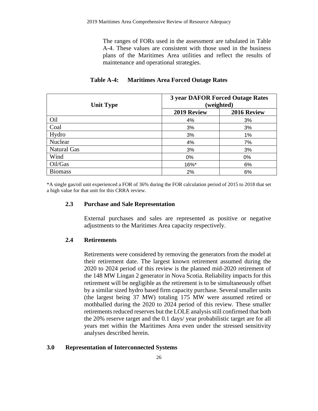The ranges of FORs used in the assessment are tabulated in Table A-4. These values are consistent with those used in the business plans of the Maritimes Area utilities and reflect the results of maintenance and operational strategies.

| <b>Unit Type</b>   | <b>3 year DAFOR Forced Outage Rates</b><br>(weighted) |             |
|--------------------|-------------------------------------------------------|-------------|
|                    | 2019 Review                                           | 2016 Review |
| Oil                | 4%                                                    | 3%          |
| Coal               | 3%                                                    | 3%          |
| Hydro              | 3%                                                    | 1%          |
| Nuclear            | 4%                                                    | 7%          |
| <b>Natural Gas</b> | 3%                                                    | 3%          |
| Wind               | $0\%$                                                 | 0%          |
| Oil/Gas            | 16%*                                                  | 6%          |
| <b>Biomass</b>     | 2%                                                    | 6%          |

## **Table A-4: Maritimes Area Forced Outage Rates**

\*A single gas/oil unit experienced a FOR of 36% during the FOR calculation period of 2015 to 2018 that set a high value for that unit for this CRRA review.

### **2.3 Purchase and Sale Representation**

External purchases and sales are represented as positive or negative adjustments to the Maritimes Area capacity respectively.

### **2.4 Retirements**

Retirements were considered by removing the generators from the model at their retirement date. The largest known retirement assumed during the 2020 to 2024 period of this review is the planned mid-2020 retirement of the 148 MW Lingan 2 generator in Nova Scotia. Reliability impacts for this retirement will be negligible as the retirement is to be simultaneously offset by a similar sized hydro based firm capacity purchase. Several smaller units (the largest being 37 MW) totaling 175 MW were assumed retired or mothballed during the 2020 to 2024 period of this review. These smaller retirements reduced reserves but the LOLE analysis still confirmed that both the 20% reserve target and the 0.1 days/ year probabilistic target are for all years met within the Maritimes Area even under the stressed sensitivity analyses described herein.

### **3.0 Representation of Interconnected Systems**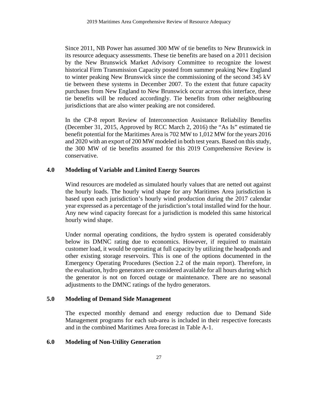Since 2011, NB Power has assumed 300 MW of tie benefits to New Brunswick in its resource adequacy assessments. These tie benefits are based on a 2011 decision by the New Brunswick Market Advisory Committee to recognize the lowest historical Firm Transmission Capacity posted from summer peaking New England to winter peaking New Brunswick since the commissioning of the second 345 kV tie between these systems in December 2007. To the extent that future capacity purchases from New England to New Brunswick occur across this interface, these tie benefits will be reduced accordingly. Tie benefits from other neighbouring jurisdictions that are also winter peaking are not considered.

In the CP-8 report Review of Interconnection Assistance Reliability Benefits (December 31, 2015, Approved by RCC March 2, 2016) the "As Is" estimated tie benefit potential for the Maritimes Area is 702 MW to 1,012 MW for the years 2016 and 2020 with an export of 200 MW modeled in both test years. Based on this study, the 300 MW of tie benefits assumed for this 2019 Comprehensive Review is conservative.

### **4.0 Modeling of Variable and Limited Energy Sources**

Wind resources are modeled as simulated hourly values that are netted out against the hourly loads. The hourly wind shape for any Maritimes Area jurisdiction is based upon each jurisdiction's hourly wind production during the 2017 calendar year expressed as a percentage of the jurisdiction's total installed wind for the hour. Any new wind capacity forecast for a jurisdiction is modeled this same historical hourly wind shape.

Under normal operating conditions, the hydro system is operated considerably below its DMNC rating due to economics. However, if required to maintain customer load, it would be operating at full capacity by utilizing the headponds and other existing storage reservoirs. This is one of the options documented in the Emergency Operating Procedures (Section 2.2 of the main report). Therefore, in the evaluation, hydro generators are considered available for all hours during which the generator is not on forced outage or maintenance. There are no seasonal adjustments to the DMNC ratings of the hydro generators.

### **5.0 Modeling of Demand Side Management**

The expected monthly demand and energy reduction due to Demand Side Management programs for each sub-area is included in their respective forecasts and in the combined Maritimes Area forecast in Table A-1.

### **6.0 Modeling of Non-Utility Generation**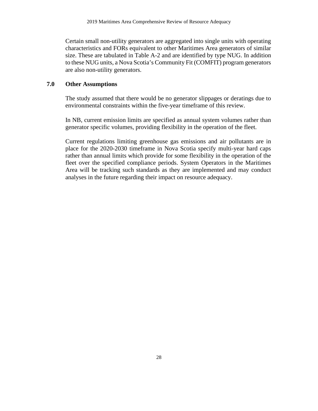Certain small non-utility generators are aggregated into single units with operating characteristics and FORs equivalent to other Maritimes Area generators of similar size. These are tabulated in Table A-2 and are identified by type NUG. In addition to these NUG units, a Nova Scotia's Community Fit (COMFIT) program generators are also non-utility generators.

## **7.0 Other Assumptions**

The study assumed that there would be no generator slippages or deratings due to environmental constraints within the five-year timeframe of this review.

In NB, current emission limits are specified as annual system volumes rather than generator specific volumes, providing flexibility in the operation of the fleet.

Current regulations limiting greenhouse gas emissions and air pollutants are in place for the 2020-2030 timeframe in Nova Scotia specify multi-year hard caps rather than annual limits which provide for some flexibility in the operation of the fleet over the specified compliance periods. System Operators in the Maritimes Area will be tracking such standards as they are implemented and may conduct analyses in the future regarding their impact on resource adequacy.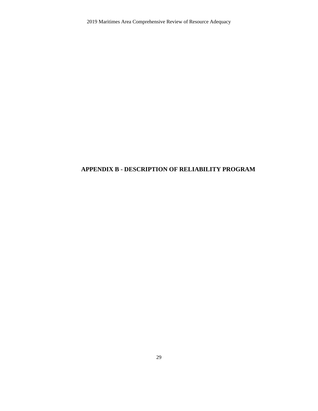## **APPENDIX B - DESCRIPTION OF RELIABILITY PROGRAM**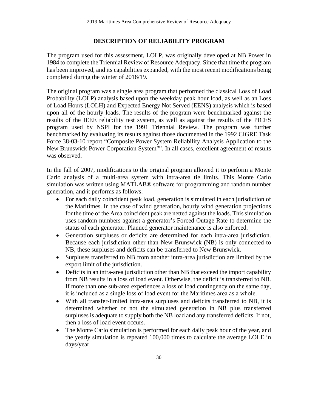## **DESCRIPTION OF RELIABILITY PROGRAM**

The program used for this assessment, LOLP, was originally developed at NB Power in 1984 to complete the Triennial Review of Resource Adequacy. Since that time the program has been improved, and its capabilities expanded, with the most recent modifications being completed during the winter of 2018/19.

The original program was a single area program that performed the classical Loss of Load Probability (LOLP) analysis based upon the weekday peak hour load, as well as an Loss of Load Hours (LOLH) and Expected Energy Not Served (EENS) analysis which is based upon all of the hourly loads. The results of the program were benchmarked against the results of the IEEE reliability test system, as well as against the results of the PICES program used by NSPI for the 1991 Triennial Review. The program was further benchmarked by evaluating its results against those documented in the 1992 CIGRE Task Force 38-03-10 report "Composite Power System Reliability Analysis Application to the New Brunswick Power Corporation System"". In all cases, excellent agreement of results was observed.

In the fall of 2007, modifications to the original program allowed it to perform a Monte Carlo analysis of a multi-area system with intra-area tie limits. This Monte Carlo simulation was written using MATLAB® software for programming and random number generation, and it performs as follows:

- For each daily coincident peak load, generation is simulated in each jurisdiction of the Maritimes. In the case of wind generation, hourly wind generation projections for the time of the Area coincident peak are netted against the loads. This simulation uses random numbers against a generator's Forced Outage Rate to determine the status of each generator. Planned generator maintenance is also enforced.
- Generation surpluses or deficits are determined for each intra-area jurisdiction. Because each jurisdiction other than New Brunswick (NB) is only connected to NB, these surpluses and deficits can be transferred to New Brunswick.
- Surpluses transferred to NB from another intra-area jurisdiction are limited by the export limit of the jurisdiction.
- Deficits in an intra-area jurisdiction other than NB that exceed the import capability from NB results in a loss of load event. Otherwise, the deficit is transferred to NB. If more than one sub-area experiences a loss of load contingency on the same day, it is included as a single loss of load event for the Maritimes area as a whole.
- With all transfer-limited intra-area surpluses and deficits transferred to NB, it is determined whether or not the simulated generation in NB plus transferred surpluses is adequate to supply both the NB load and any transferred deficits. If not, then a loss of load event occurs.
- The Monte Carlo simulation is performed for each daily peak hour of the year, and the yearly simulation is repeated 100,000 times to calculate the average LOLE in days/year.